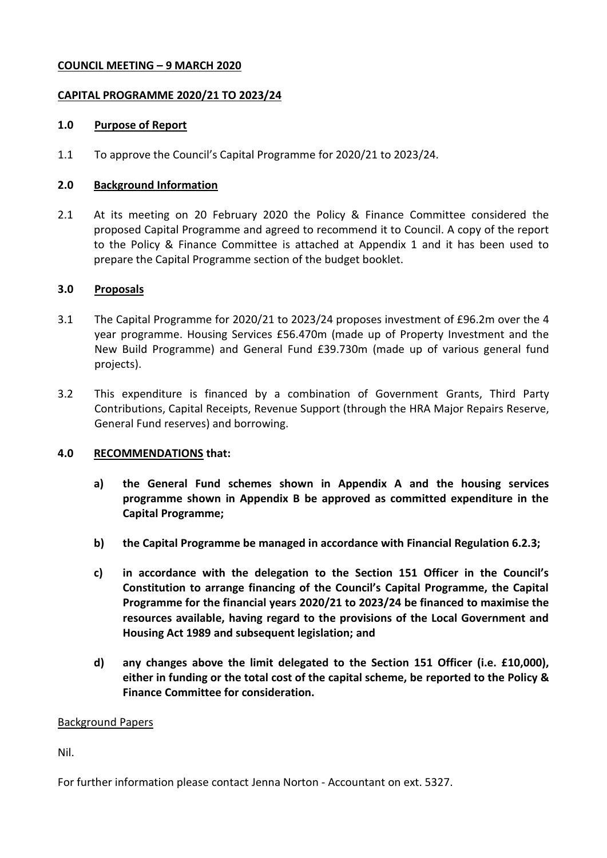## **COUNCIL MEETING – 9 MARCH 2020**

# **CAPITAL PROGRAMME 2020/21 TO 2023/24**

### **1.0 Purpose of Report**

1.1 To approve the Council's Capital Programme for 2020/21 to 2023/24.

### **2.0 Background Information**

2.1 At its meeting on 20 February 2020 the Policy & Finance Committee considered the proposed Capital Programme and agreed to recommend it to Council. A copy of the report to the Policy & Finance Committee is attached at Appendix 1 and it has been used to prepare the Capital Programme section of the budget booklet.

### **3.0 Proposals**

- 3.1 The Capital Programme for 2020/21 to 2023/24 proposes investment of £96.2m over the 4 year programme. Housing Services £56.470m (made up of Property Investment and the New Build Programme) and General Fund £39.730m (made up of various general fund projects).
- 3.2 This expenditure is financed by a combination of Government Grants, Third Party Contributions, Capital Receipts, Revenue Support (through the HRA Major Repairs Reserve, General Fund reserves) and borrowing.

# **4.0 RECOMMENDATIONS that:**

- **a) the General Fund schemes shown in Appendix A and the housing services programme shown in Appendix B be approved as committed expenditure in the Capital Programme;**
- **b) the Capital Programme be managed in accordance with Financial Regulation 6.2.3;**
- **c) in accordance with the delegation to the Section 151 Officer in the Council's Constitution to arrange financing of the Council's Capital Programme, the Capital Programme for the financial years 2020/21 to 2023/24 be financed to maximise the resources available, having regard to the provisions of the Local Government and Housing Act 1989 and subsequent legislation; and**
- **d) any changes above the limit delegated to the Section 151 Officer (i.e. £10,000), either in funding or the total cost of the capital scheme, be reported to the Policy & Finance Committee for consideration.**

#### Background Papers

Nil.

For further information please contact Jenna Norton - Accountant on ext. 5327.